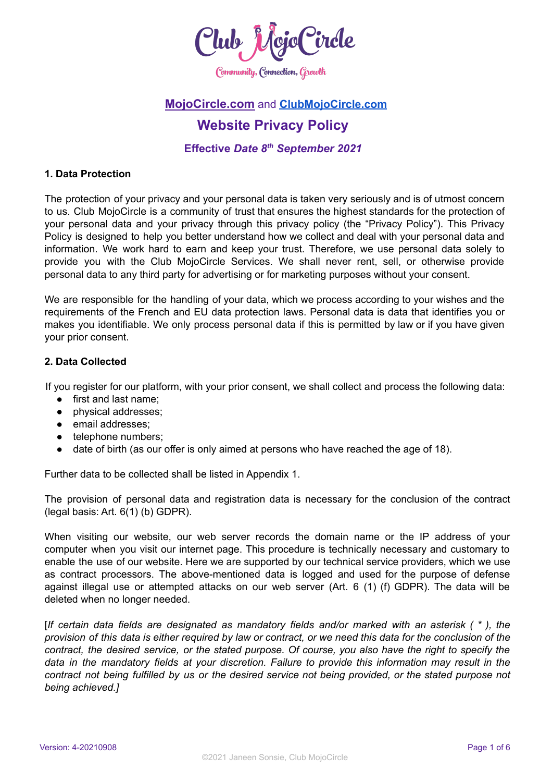

## **[MojoCircle.com](https://mojocircle.com/)** and **[ClubMojoCircle.com](https://clubmojocircle.com/login/)**

# **Website Privacy Policy**

### **Effective** *Date 8th September 2021*

#### **1. Data Protection**

The protection of your privacy and your personal data is taken very seriously and is of utmost concern to us. Club MojoCircle is a community of trust that ensures the highest standards for the protection of your personal data and your privacy through this privacy policy (the "Privacy Policy"). This Privacy Policy is designed to help you better understand how we collect and deal with your personal data and information. We work hard to earn and keep your trust. Therefore, we use personal data solely to provide you with the Club MojoCircle Services. We shall never rent, sell, or otherwise provide personal data to any third party for advertising or for marketing purposes without your consent.

We are responsible for the handling of your data, which we process according to your wishes and the requirements of the French and EU data protection laws. Personal data is data that identifies you or makes you identifiable. We only process personal data if this is permitted by law or if you have given your prior consent.

#### **2. Data Collected**

If you register for our platform, with your prior consent, we shall collect and process the following data:

- first and last name:
- physical addresses;
- email addresses:
- telephone numbers;
- date of birth (as our offer is only aimed at persons who have reached the age of 18).

Further data to be collected shall be listed in Appendix 1.

The provision of personal data and registration data is necessary for the conclusion of the contract (legal basis: Art. 6(1) (b) GDPR).

When visiting our website, our web server records the domain name or the IP address of your computer when you visit our internet page. This procedure is technically necessary and customary to enable the use of our website. Here we are supported by our technical service providers, which we use as contract processors. The above-mentioned data is logged and used for the purpose of defense against illegal use or attempted attacks on our web server (Art. 6 (1) (f) GDPR). The data will be deleted when no longer needed.

[If certain data fields are designated as mandatory fields and/or marked with an asterisk  $(*)$ , the provision of this data is either required by law or contract, or we need this data for the conclusion of the contract, the desired service, or the stated purpose. Of course, you also have the right to specify the *data in the mandatory fields at your discretion. Failure to provide this information may result in the* contract not being fulfilled by us or the desired service not being provided, or the stated purpose not *being achieved.]*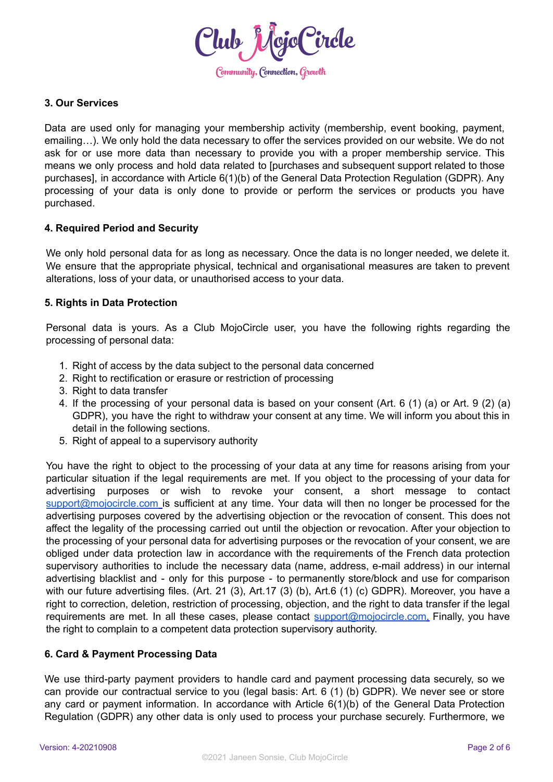

#### **3. Our Services**

Data are used only for managing your membership activity (membership, event booking, payment, emailing…). We only hold the data necessary to offer the services provided on our website. We do not ask for or use more data than necessary to provide you with a proper membership service. This means we only process and hold data related to [purchases and subsequent support related to those purchases], in accordance with Article 6(1)(b) of the General Data Protection Regulation (GDPR). Any processing of your data is only done to provide or perform the services or products you have purchased.

#### **4. Required Period and Security**

We only hold personal data for as long as necessary. Once the data is no longer needed, we delete it. We ensure that the appropriate physical, technical and organisational measures are taken to prevent alterations, loss of your data, or unauthorised access to your data.

#### **5. Rights in Data Protection**

Personal data is yours. As a Club MojoCircle user, you have the following rights regarding the processing of personal data:

- 1. Right of access by the data subject to the personal data concerned
- 2. Right to rectification or erasure or restriction of processing
- 3. Right to data transfer
- 4. If the processing of your personal data is based on your consent (Art. 6 (1) (a) or Art. 9 (2) (a) GDPR), you have the right to withdraw your consent at any time. We will inform you about this in detail in the following sections.
- 5. Right of appeal to a supervisory authority

You have the right to object to the processing of your data at any time for reasons arising from your particular situation if the legal requirements are met. If you object to the processing of your data for advertising purposes or wish to revoke your consent, a short message to contact [support@mojocircle.com](mailto:support@mojocircle.com) is sufficient at any time. Your data will then no longer be processed for the advertising purposes covered by the advertising objection or the revocation of consent. This does not affect the legality of the processing carried out until the objection or revocation. After your objection to the processing of your personal data for advertising purposes or the revocation of your consent, we are obliged under data protection law in accordance with the requirements of the French data protection supervisory authorities to include the necessary data (name, address, e-mail address) in our internal advertising blacklist and - only for this purpose - to permanently store/block and use for comparison with our future advertising files. (Art. 21 (3), Art.17 (3) (b), Art.6 (1) (c) GDPR). Moreover, you have a right to correction, deletion, restriction of processing, objection, and the right to data transfer if the legal requirements are met. In all these cases, please contact [support@mojocircle.com.](mailto:support@mojocircle.com) Finally, you have the right to complain to a competent data protection supervisory authority.

#### **6. Card & Payment Processing Data**

We use third-party payment providers to handle card and payment processing data securely, so we can provide our contractual service to you (legal basis: Art. 6 (1) (b) GDPR). We never see or store any card or payment information. In accordance with Article 6(1)(b) of the General Data Protection Regulation (GDPR) any other data is only used to process your purchase securely. Furthermore, we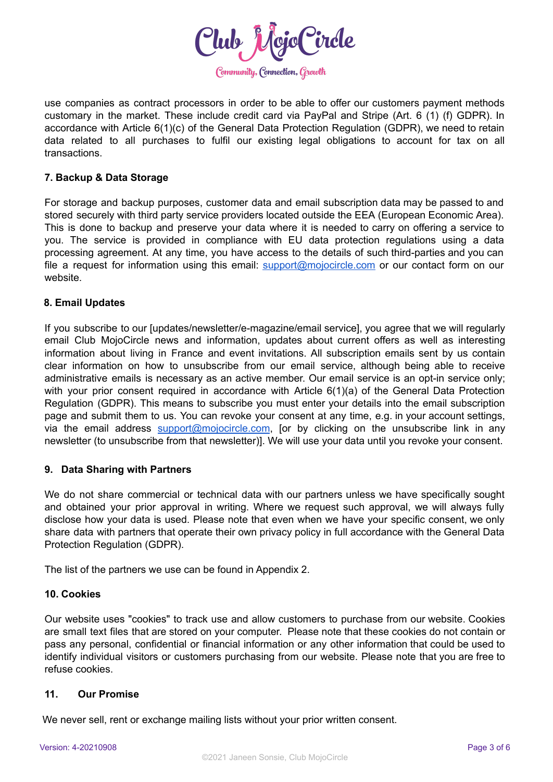

use companies as contract processors in order to be able to offer our customers payment methods customary in the market. These include credit card via PayPal and Stripe (Art. 6 (1) (f) GDPR). In accordance with Article 6(1)(c) of the General Data Protection Regulation (GDPR), we need to retain data related to all purchases to fulfil our existing legal obligations to account for tax on all transactions.

#### **7. Backup & Data Storage**

For storage and backup purposes, customer data and email subscription data may be passed to and stored securely with third party service providers located outside the EEA (European Economic Area). This is done to backup and preserve your data where it is needed to carry on offering a service to you. The service is provided in compliance with EU data protection regulations using a data processing agreement. At any time, you have access to the details of such third-parties and you can file a request for information using this email: [support@mojocircle.com](mailto:support@mojocircle.com) or our contact form on our website.

#### **8. Email Updates**

If you subscribe to our [updates/newsletter/e-magazine/email service], you agree that we will regularly email Club MojoCircle news and information, updates about current offers as well as interesting information about living in France and event invitations. All subscription emails sent by us contain clear information on how to unsubscribe from our email service, although being able to receive administrative emails is necessary as an active member. Our email service is an opt-in service only; with your prior consent required in accordance with Article 6(1)(a) of the General Data Protection Regulation (GDPR). This means to subscribe you must enter your details into the email subscription page and submit them to us. You can revoke your consent at any time, e.g. in your account settings, via the email address [support@mojocircle.com](mailto:support@mojocircle.com), [or by clicking on the unsubscribe link in any newsletter (to unsubscribe from that newsletter)]. We will use your data until you revoke your consent.

#### **9. Data Sharing with Partners**

We do not share commercial or technical data with our partners unless we have specifically sought and obtained your prior approval in writing. Where we request such approval, we will always fully disclose how your data is used. Please note that even when we have your specific consent, we only share data with partners that operate their own privacy policy in full accordance with the General Data Protection Regulation (GDPR).

The list of the partners we use can be found in Appendix 2.

#### **10. Cookies**

Our website uses "cookies" to track use and allow customers to purchase from our website. Cookies are small text files that are stored on your computer. Please note that these cookies do not contain or pass any personal, confidential or financial information or any other information that could be used to identify individual visitors or customers purchasing from our website. Please note that you are free to refuse cookies.

#### **11. Our Promise**

We never sell, rent or exchange mailing lists without your prior written consent.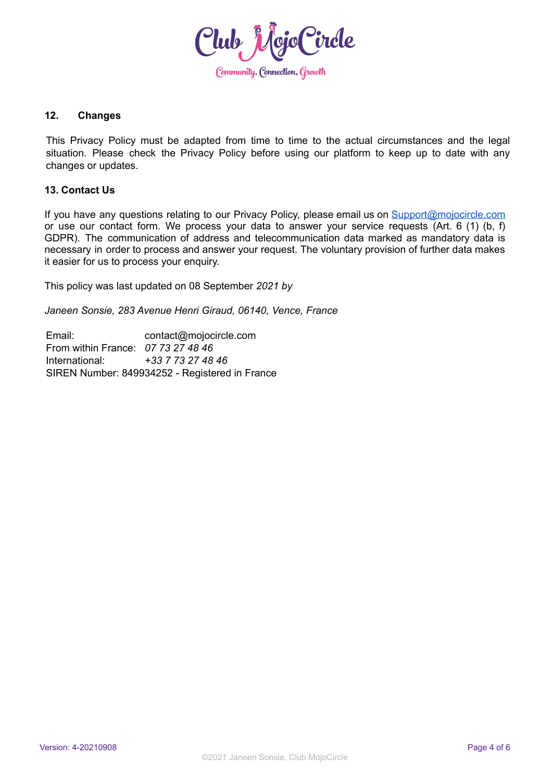

#### **12. Changes**

This Privacy Policy must be adapted from time to time to the actual circumstances and the legal situation. Please check the Privacy Policy before using our platform to keep up to date with any changes or updates.

#### **13. Contact Us**

If you have any questions relating to our Privacy Policy, please email us on [Support@mojocircle.com](mailto:support@mojocircle.com) or use our contact form. We process your data to answer your service requests (Art. 6 (1) (b, f) GDPR). The communication of address and telecommunication data marked as mandatory data is necessary in order to process and answer your request. The voluntary provision of further data makes it easier for us to process your enquiry.

This policy was last updated on 08 September *2021 by*

*Janeen Sonsie, 283 Avenue Henri Giraud, 06140, Vence, France*

Email: contact@mojocircle.com From within France: *07 73 27 48 46* International: *+33 7 73 27 48 46* SIREN Number: 849934252 - Registered in France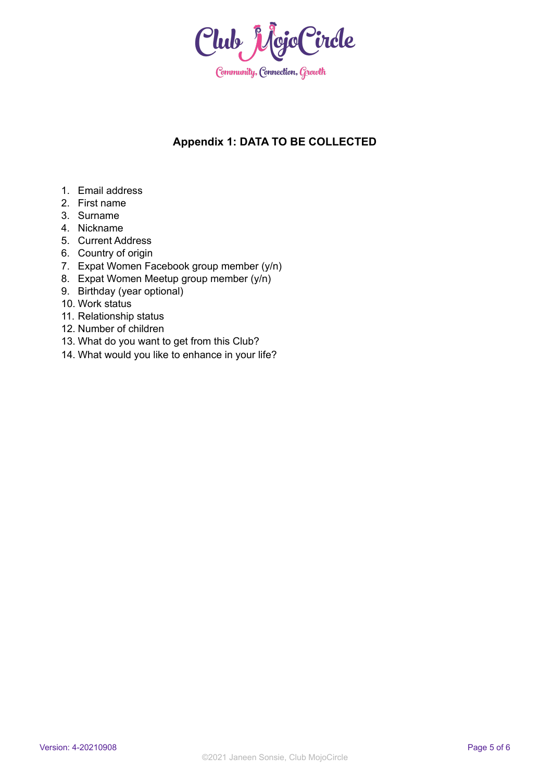

## **Appendix 1: DATA TO BE COLLECTED**

- 1. Email address
- 2. First name
- 3. Surname
- 4. Nickname
- 5. Current Address
- 6. Country of origin
- 7. Expat Women Facebook group member (y/n)
- 8. Expat Women Meetup group member (y/n)
- 9. Birthday (year optional)
- 10. Work status
- 11. Relationship status
- 12. Number of children
- 13. What do you want to get from this Club?
- 14. What would you like to enhance in your life?